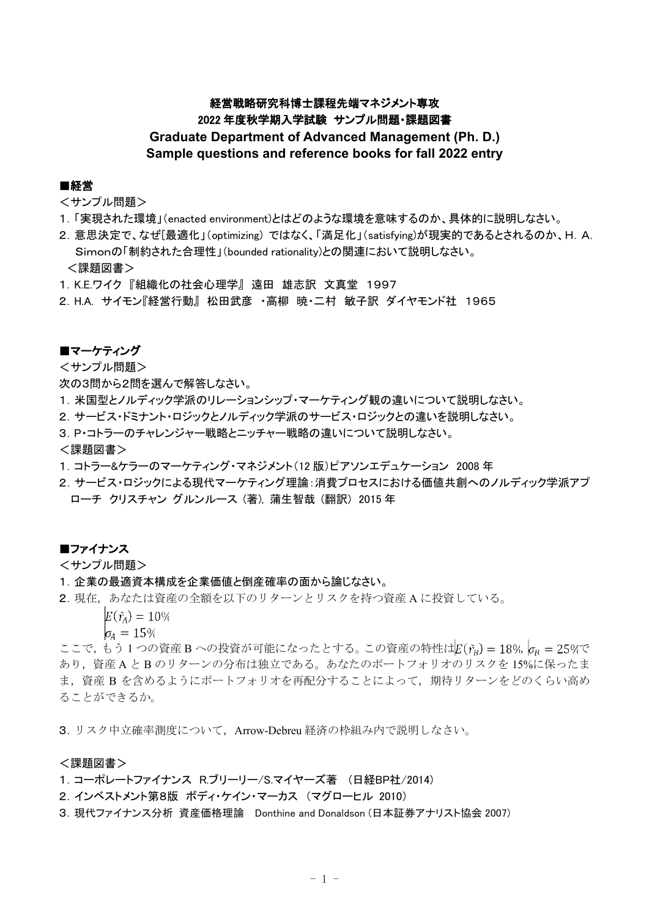# 経営戦略研究科博士課程先端マネジメント専攻 2022 年度秋学期入学試験 サンプル問題・課題図書 **Graduate Department of Advanced Management (Ph. D.)**

# **Sample questions and reference books for fall 2022 entry**

# ■経営

<サンプル問題>

- 1.「実現された環境」(enacted environment)とはどのような環境を意味するのか、具体的に説明しなさい。
- 2.意思決定で、なぜ[最適化」(optimizing) ではなく、「満足化」(satisfying)が現実的であるとされるのか、H.A. Simonの「制約された合理性」(bounded rationality)との関連において説明しなさい。 <課題図書>
- 1.K.E.ワイク 『組織化の社会心理学』 遠田 雄志訳 文真堂 1997
- 2.H.A. サイモン『経営行動』 松田武彦 ・高柳 暁・二村 敏子訳 ダイヤモンド社 1965

# ■マーケティング

<サンプル問題>

次の3問から2問を選んで解答しなさい。

- 1.米国型とノルディック学派のリレーションシップ・マーケティング観の違いについて説明しなさい。
- 2.サービス・ドミナント・ロジックとノルディック学派のサービス・ロジックとの違いを説明しなさい。
- 3.P・コトラーのチャレンジャー戦略とニッチャー戦略の違いについて説明しなさい。

### <課題図書>

- 1.コトラー&ケラーのマーケティング・マネジメント(12 版)ピアソンエデュケーション 2008 年
- 2. サービス・ロジックによる現代マーケティング理論:消費プロセスにおける価値共創へのノルディック学派アプ ローチ クリスチャン グルンルース (著), 蒲生智哉 (翻訳) 2015 年

# ■ファイナンス

<サンプル問題>

- 1.企業の最適資本構成を企業価値と倒産確率の面から論じなさい。
- 2.現在,あなたは資産の全額を以下のリターンとリスクを持つ資産 A に投資している。

 $E(\tilde{r}_A) = 10\%$ 

 $\sigma_4 = 15\%$ 

ここで,もう1つの資産 B への投資が可能になったとする。この資産の特性は $E(\tilde{r_{B}}) = 18\%$   $\sigma_{B} = 25\%$ で あり,資産 A と B のリターンの分布は独立である。あなたのポートフォリオのリスクを 15%に保ったま ま, 資産 B を含めるようにポートフォリオを再配分することによって, 期待リターンをどのくらい高め ることができるか。

3.リスク中立確率測度について,Arrow-Debreu 経済の枠組み内で説明しなさい。

# <課題図書>

- 1.コーポレートファイナンス R.ブリーリー/S.マイヤーズ著 (日経BP社/2014)
- 2.インベストメント第8版 ボディ・ケイン・マーカス (マグローヒル 2010)
- 3.現代ファイナンス分析 資産価格理論 Donthine and Donaldson (日本証券アナリスト協会 2007)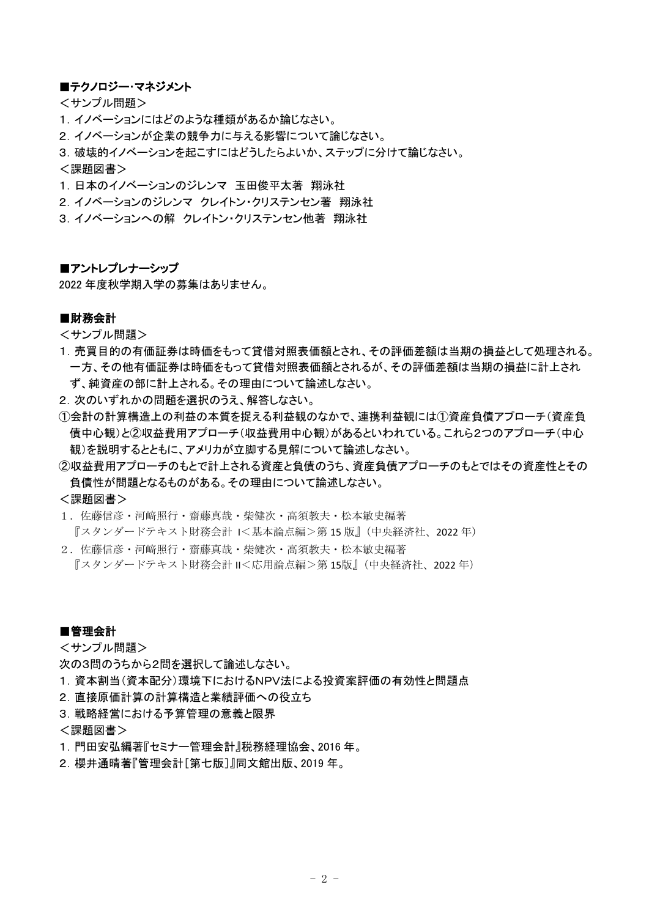# ■テクノロジー・マネジメント

<サンプル問題>

- 1.イノベーションにはどのような種類があるか論じなさい。
- 2.イノベーションが企業の競争力に与える影響について論じなさい。

3.破壊的イノベーションを起こすにはどうしたらよいか、ステップに分けて論じなさい。

<課題図書>

- 1.日本のイノベーションのジレンマ 玉田俊平太著 翔泳社
- 2.イノベーションのジレンマ クレイトン・クリステンセン著 翔泳社
- 3. イノベーションへの解 クレイトン・クリステンセン他著 翔泳社

# ■アントレプレナーシップ

2022 年度秋学期入学の募集はありません。

# ■財務会計

<サンプル問題>

- 1.売買目的の有価証券は時価をもって貸借対照表価額とされ、その評価差額は当期の損益として処理される。 一方、その他有価証券は時価をもって貸借対照表価額とされるが、その評価差額は当期の損益に計上され ず、純資産の部に計上される。その理由について論述しなさい。
- 2. 次のいずれかの問題を選択のうえ、解答しなさい。
- ①会計の計算構造上の利益の本質を捉える利益観のなかで、連携利益観には①資産負債アプローチ(資産負 債中心観)と②収益費用アプローチ(収益費用中心観)があるといわれている。これら2つのアプローチ(中心 観)を説明するとともに、アメリカが立脚する見解について論述しなさい。
- ②収益費用アプローチのもとで計上される資産と負債のうち、資産負債アプローチのもとではその資産性とその 負債性が問題となるものがある。その理由について論述しなさい。

### <課題図書>

1.佐藤信彦・河﨑照行・齋藤真哉・柴健次・高須教夫・松本敏史編著

- 『スタンダードテキスト財務会計 I<基本論点編>第 15 版』(中央経済社、2022 年)
- 2. 佐藤信彦・河﨑照行・齋藤真哉・柴健次・高須教夫・松本敏史編著 『スタンダードテキスト財務会計 II<応用論点編>第 15版』(中央経済社、2022 年)

# ■管理会計

<サンプル問題>

次の3問のうちから2問を選択して論述しなさい。

- 1.資本割当(資本配分)環境下におけるNPV法による投資案評価の有効性と問題点
- 2.直接原価計算の計算構造と業績評価への役立ち
- 3.戦略経営における予算管理の意義と限界

#### <課題図書>

- 1.門田安弘編著『セミナー管理会計』税務経理協会、2016 年。
- 2.櫻井通晴著『管理会計[第七版]』同文館出版、2019 年。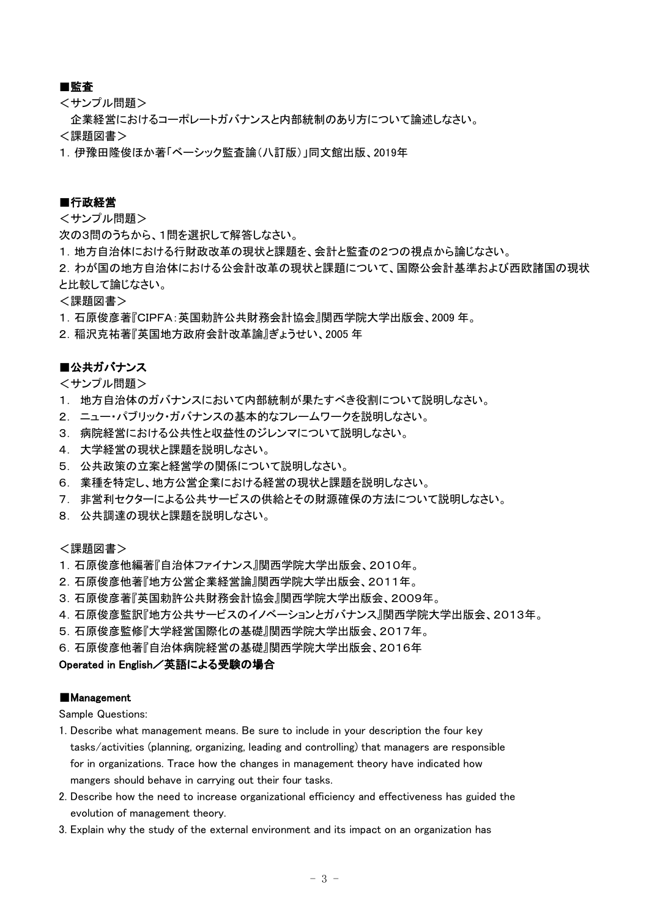# ■監査

<サンプル問題>

企業経営におけるコーポレートガバナンスと内部統制のあり方について論述しなさい。

<課題図書>

1.伊豫田隆俊ほか著「ベーシック監査論(八訂版)」同文館出版、2019年

# ■行政経営

<サンプル問題>

次の3問のうちから、1問を選択して解答しなさい。

1.地方自治体における行財政改革の現状と課題を、会計と監査の2つの視点から論じなさい。

2.わが国の地方自治体における公会計改革の現状と課題について、国際公会計基準および西欧諸国の現状 と比較して論じなさい。

<課題図書>

1.石原俊彦著『CIPFA:英国勅許公共財務会計協会』関西学院大学出版会、2009 年。

2.稲沢克祐著『英国地方政府会計改革論』ぎょうせい、2005 年

# ■公共ガバナンス

<サンプル問題>

- 1. 地方自治体のガバナンスにおいて内部統制が果たすべき役割について説明しなさい。
- 2. ニュー・パブリック・ガバナンスの基本的なフレームワークを説明しなさい。
- 3. 病院経営における公共性と収益性のジレンマについて説明しなさい。
- 4. 大学経営の現状と課題を説明しなさい。
- 5. 公共政策の立案と経営学の関係について説明しなさい。
- 6. 業種を特定し、地方公営企業における経営の現状と課題を説明しなさい。
- 7. 非営利セクターによる公共サービスの供給とその財源確保の方法について説明しなさい。
- 8. 公共調達の現状と課題を説明しなさい。

# <課題図書>

- 1.石原俊彦他編著『自治体ファイナンス』関西学院大学出版会、2010年。
- 2.石原俊彦他著『地方公営企業経営論』関西学院大学出版会、2011年。
- 3.石原俊彦著『英国勅許公共財務会計協会』関西学院大学出版会、2009年。
- 4.石原俊彦監訳『地方公共サービスのイノベーションとガバナンス』関西学院大学出版会、2013年。
- 5.石原俊彦監修『大学経営国際化の基礎』関西学院大学出版会、2017年。
- 6.石原俊彦他著『自治体病院経営の基礎』関西学院大学出版会、2016年

# Operated in English/英語による受験の場合

### ■Management

Sample Questions:

- 1. Describe what management means. Be sure to include in your description the four key tasks/activities (planning, organizing, leading and controlling) that managers are responsible for in organizations. Trace how the changes in management theory have indicated how mangers should behave in carrying out their four tasks.
- 2. Describe how the need to increase organizational efficiency and effectiveness has guided the evolution of management theory.
- 3. Explain why the study of the external environment and its impact on an organization has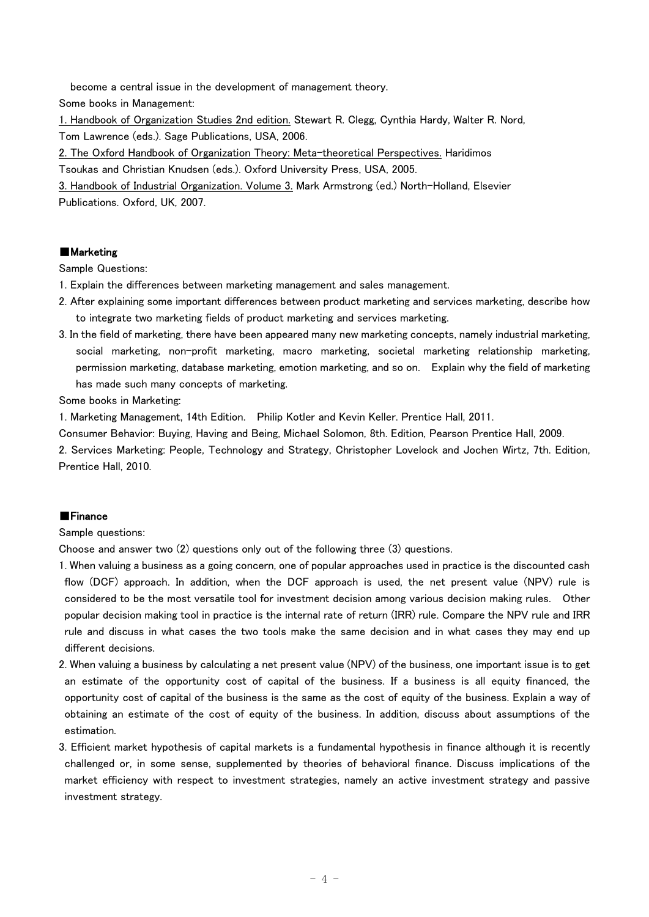become a central issue in the development of management theory.

Some books in Management:

1. Handbook of Organization Studies 2nd edition. Stewart R. Clegg, Cynthia Hardy, Walter R. Nord, Tom Lawrence (eds.). Sage Publications, USA, 2006.

2. The Oxford Handbook of Organization Theory: Meta-theoretical Perspectives. Haridimos

Tsoukas and Christian Knudsen (eds.). Oxford University Press, USA, 2005.

3. Handbook of Industrial Organization. Volume 3. Mark Armstrong (ed.) North-Holland, Elsevier Publications. Oxford, UK, 2007.

# ■Marketing

Sample Questions:

1. Explain the differences between marketing management and sales management.

- 2. After explaining some important differences between product marketing and services marketing, describe how to integrate two marketing fields of product marketing and services marketing.
- 3. In the field of marketing, there have been appeared many new marketing concepts, namely industrial marketing, social marketing, non-profit marketing, macro marketing, societal marketing relationship marketing, permission marketing, database marketing, emotion marketing, and so on. Explain why the field of marketing has made such many concepts of marketing.

Some books in Marketing:

1. Marketing Management, 14th Edition. Philip Kotler and Kevin Keller. Prentice Hall, 2011.

Consumer Behavior: Buying, Having and Being, Michael Solomon, 8th. Edition, Pearson Prentice Hall, 2009.

2. Services Marketing: People, Technology and Strategy, Christopher Lovelock and Jochen Wirtz, 7th. Edition, Prentice Hall, 2010.

# ■Finance

Sample questions:

Choose and answer two (2) questions only out of the following three (3) questions.

- 1. When valuing a business as a going concern, one of popular approaches used in practice is the discounted cash flow (DCF) approach. In addition, when the DCF approach is used, the net present value (NPV) rule is considered to be the most versatile tool for investment decision among various decision making rules. Other popular decision making tool in practice is the internal rate of return (IRR) rule. Compare the NPV rule and IRR rule and discuss in what cases the two tools make the same decision and in what cases they may end up different decisions.
- 2. When valuing a business by calculating a net present value (NPV) of the business, one important issue is to get an estimate of the opportunity cost of capital of the business. If a business is all equity financed, the opportunity cost of capital of the business is the same as the cost of equity of the business. Explain a way of obtaining an estimate of the cost of equity of the business. In addition, discuss about assumptions of the estimation.
- 3. Efficient market hypothesis of capital markets is a fundamental hypothesis in finance although it is recently challenged or, in some sense, supplemented by theories of behavioral finance. Discuss implications of the market efficiency with respect to investment strategies, namely an active investment strategy and passive investment strategy.